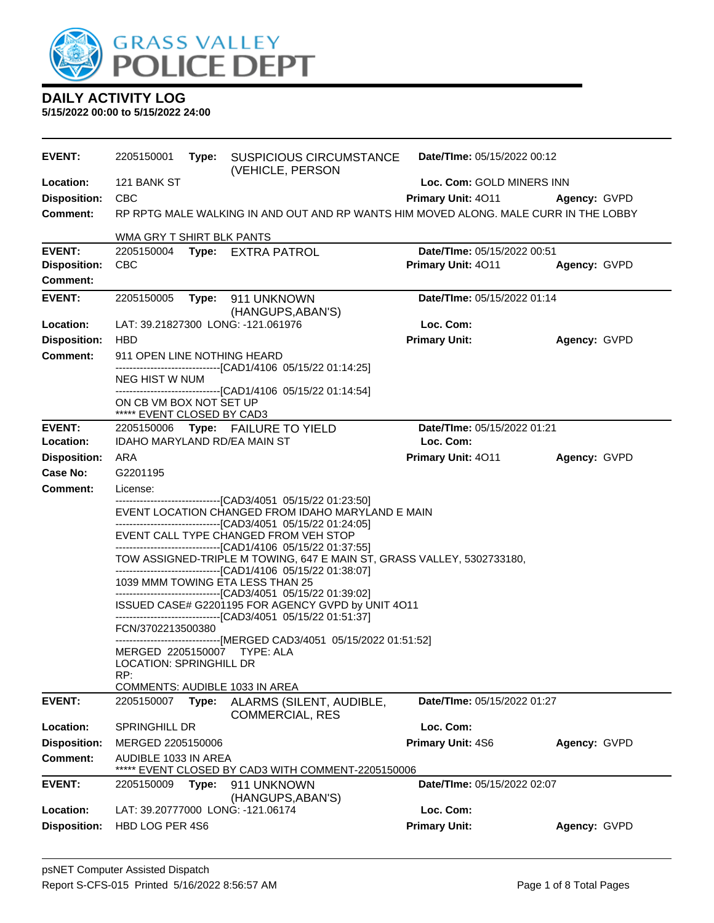

| <b>EVENT:</b>       | 2205150001                                                                                          | Type: | <b>SUSPICIOUS CIRCUMSTANCE</b><br>(VEHICLE, PERSON                                                                                    | Date/TIme: 05/15/2022 00:12 |              |  |  |
|---------------------|-----------------------------------------------------------------------------------------------------|-------|---------------------------------------------------------------------------------------------------------------------------------------|-----------------------------|--------------|--|--|
| Location:           | 121 BANK ST                                                                                         |       |                                                                                                                                       | Loc. Com: GOLD MINERS INN   |              |  |  |
| <b>Disposition:</b> | <b>CBC</b>                                                                                          |       |                                                                                                                                       | Primary Unit: 4011          | Agency: GVPD |  |  |
| <b>Comment:</b>     |                                                                                                     |       | RP RPTG MALE WALKING IN AND OUT AND RP WANTS HIM MOVED ALONG. MALE CURR IN THE LOBBY                                                  |                             |              |  |  |
| <b>EVENT:</b>       | WMA GRY T SHIRT BLK PANTS                                                                           |       |                                                                                                                                       | Date/TIme: 05/15/2022 00:51 |              |  |  |
| <b>Disposition:</b> | <b>CBC</b>                                                                                          |       | 2205150004 Type: EXTRA PATROL                                                                                                         | Primary Unit: 4011          | Agency: GVPD |  |  |
| <b>Comment:</b>     |                                                                                                     |       |                                                                                                                                       |                             |              |  |  |
| <b>EVENT:</b>       |                                                                                                     |       |                                                                                                                                       | Date/TIme: 05/15/2022 01:14 |              |  |  |
|                     | 2205150005                                                                                          |       | Type: 911 UNKNOWN<br>(HANGUPS, ABAN'S)                                                                                                |                             |              |  |  |
| Location:           |                                                                                                     |       | LAT: 39.21827300 LONG: -121.061976                                                                                                    | Loc. Com:                   |              |  |  |
| <b>Disposition:</b> | <b>HBD</b>                                                                                          |       |                                                                                                                                       | <b>Primary Unit:</b>        | Agency: GVPD |  |  |
| <b>Comment:</b>     | 911 OPEN LINE NOTHING HEARD                                                                         |       |                                                                                                                                       |                             |              |  |  |
|                     | NEG HIST W NUM                                                                                      |       | -------------------------------[CAD1/4106 05/15/22 01:14:25]                                                                          |                             |              |  |  |
|                     | ON CB VM BOX NOT SET UP<br>***** EVENT CLOSED BY CAD3                                               |       | --------------------------------[CAD1/4106_05/15/22_01:14:54]                                                                         |                             |              |  |  |
| <b>EVENT:</b>       |                                                                                                     |       | 2205150006 Type: FAILURE TO YIELD                                                                                                     | Date/TIme: 05/15/2022 01:21 |              |  |  |
| Location:           | <b>IDAHO MARYLAND RD/EA MAIN ST</b>                                                                 |       |                                                                                                                                       | Loc. Com:                   |              |  |  |
| <b>Disposition:</b> | ARA                                                                                                 |       |                                                                                                                                       | Primary Unit: 4011          | Agency: GVPD |  |  |
| Case No:            | G2201195                                                                                            |       |                                                                                                                                       |                             |              |  |  |
| Comment:            | License:                                                                                            |       |                                                                                                                                       |                             |              |  |  |
|                     |                                                                                                     |       | -------------------------------[CAD3/4051_05/15/22 01:23:50]<br>EVENT LOCATION CHANGED FROM IDAHO MARYLAND E MAIN                     |                             |              |  |  |
|                     |                                                                                                     |       | -------------------------------[CAD3/4051 05/15/22 01:24:05]                                                                          |                             |              |  |  |
|                     |                                                                                                     |       | EVENT CALL TYPE CHANGED FROM VEH STOP                                                                                                 |                             |              |  |  |
|                     |                                                                                                     |       | ------------------------------[CAD1/4106 05/15/22 01:37:55]<br>TOW ASSIGNED-TRIPLE M TOWING, 647 E MAIN ST, GRASS VALLEY, 5302733180, |                             |              |  |  |
|                     |                                                                                                     |       | -------------------------------[CAD1/4106 05/15/22 01:38:07]                                                                          |                             |              |  |  |
|                     |                                                                                                     |       | 1039 MMM TOWING ETA LESS THAN 25<br>-------------------------------[CAD3/4051 05/15/22 01:39:02]                                      |                             |              |  |  |
|                     | ISSUED CASE# G2201195 FOR AGENCY GVPD by UNIT 4O11                                                  |       |                                                                                                                                       |                             |              |  |  |
|                     |                                                                                                     |       | -------------------------------[CAD3/4051 05/15/22 01:51:37]                                                                          |                             |              |  |  |
|                     | FCN/3702213500380                                                                                   |       |                                                                                                                                       |                             |              |  |  |
|                     | ------------------------------[MERGED CAD3/4051_05/15/2022 01:51:52]<br>MERGED 2205150007 TYPE: ALA |       |                                                                                                                                       |                             |              |  |  |
|                     | LOCATION: SPRINGHILL DR                                                                             |       |                                                                                                                                       |                             |              |  |  |
|                     | RP:                                                                                                 |       |                                                                                                                                       |                             |              |  |  |
| <b>EVENT:</b>       | 2205150007                                                                                          | Type: | COMMENTS: AUDIBLE 1033 IN AREA<br>ALARMS (SILENT, AUDIBLE,                                                                            | Date/TIme: 05/15/2022 01:27 |              |  |  |
|                     |                                                                                                     |       | <b>COMMERCIAL, RES</b>                                                                                                                |                             |              |  |  |
| Location:           | SPRINGHILL DR                                                                                       |       |                                                                                                                                       | Loc. Com:                   |              |  |  |
| <b>Disposition:</b> | MERGED 2205150006                                                                                   |       |                                                                                                                                       | Primary Unit: 4S6           | Agency: GVPD |  |  |
| <b>Comment:</b>     | AUDIBLE 1033 IN AREA                                                                                |       | EVENT CLOSED BY CAD3 WITH COMMENT-2205150006                                                                                          |                             |              |  |  |
| <b>EVENT:</b>       | 2205150009                                                                                          | Type: | 911 UNKNOWN                                                                                                                           | Date/TIme: 05/15/2022 02:07 |              |  |  |
|                     |                                                                                                     |       | (HANGUPS, ABAN'S)                                                                                                                     |                             |              |  |  |
| Location:           |                                                                                                     |       | LAT: 39.20777000 LONG: -121.06174                                                                                                     | Loc. Com:                   |              |  |  |
| <b>Disposition:</b> | HBD LOG PER 4S6                                                                                     |       |                                                                                                                                       | <b>Primary Unit:</b>        | Agency: GVPD |  |  |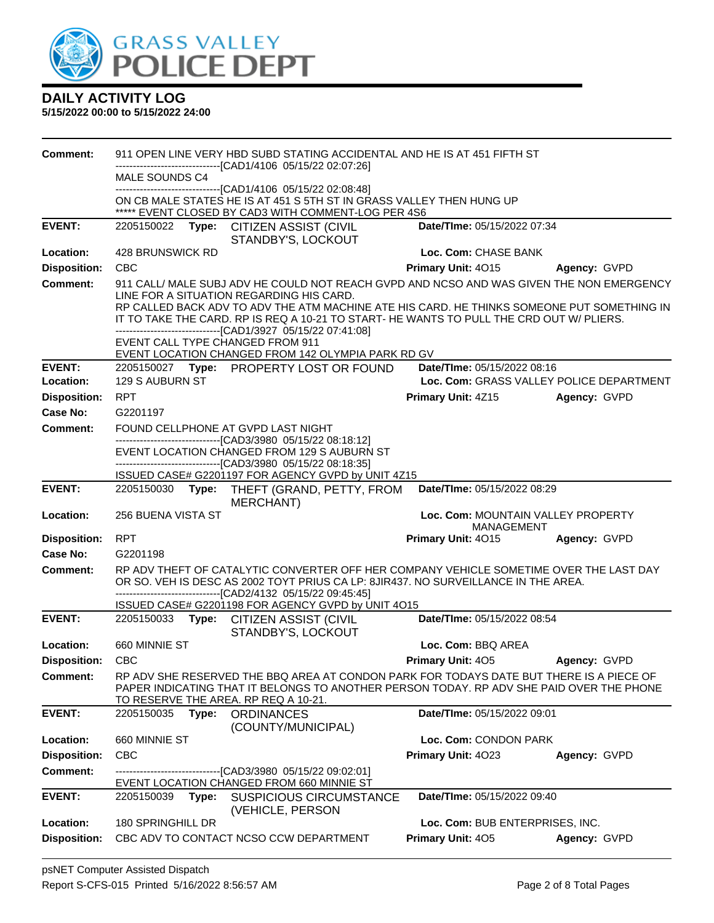

| <b>Comment:</b>            |                                                                                                                                      |       | 911 OPEN LINE VERY HBD SUBD STATING ACCIDENTAL AND HE IS AT 451 FIFTH ST                                                                                                                                                                     |                                                  |                                                          |
|----------------------------|--------------------------------------------------------------------------------------------------------------------------------------|-------|----------------------------------------------------------------------------------------------------------------------------------------------------------------------------------------------------------------------------------------------|--------------------------------------------------|----------------------------------------------------------|
|                            | MALE SOUNDS C4                                                                                                                       |       | --------------------------[CAD1/4106_05/15/22 02:07:26]                                                                                                                                                                                      |                                                  |                                                          |
|                            | -------------------------------[CAD1/4106 05/15/22 02:08:48]<br>ON CB MALE STATES HE IS AT 451 S 5TH ST IN GRASS VALLEY THEN HUNG UP |       |                                                                                                                                                                                                                                              |                                                  |                                                          |
|                            |                                                                                                                                      |       | ***** EVENT CLOSED BY CAD3 WITH COMMENT-LOG PER 4S6                                                                                                                                                                                          |                                                  |                                                          |
| <b>EVENT:</b>              |                                                                                                                                      |       | 2205150022 Type: CITIZEN ASSIST (CIVIL<br>STANDBY'S, LOCKOUT                                                                                                                                                                                 | Date/TIme: 05/15/2022 07:34                      |                                                          |
| Location:                  | 428 BRUNSWICK RD                                                                                                                     |       |                                                                                                                                                                                                                                              | Loc. Com: CHASE BANK                             |                                                          |
| <b>Disposition:</b>        | <b>CBC</b>                                                                                                                           |       |                                                                                                                                                                                                                                              | <b>Primary Unit: 4015</b>                        | Agency: GVPD                                             |
| <b>Comment:</b>            |                                                                                                                                      |       | 911 CALL/ MALE SUBJ ADV HE COULD NOT REACH GVPD AND NCSO AND WAS GIVEN THE NON EMERGENCY                                                                                                                                                     |                                                  |                                                          |
|                            |                                                                                                                                      |       | LINE FOR A SITUATION REGARDING HIS CARD.<br>RP CALLED BACK ADV TO ADV THE ATM MACHINE ATE HIS CARD. HE THINKS SOMEONE PUT SOMETHING IN                                                                                                       |                                                  |                                                          |
|                            |                                                                                                                                      |       | IT TO TAKE THE CARD. RP IS REQ A 10-21 TO START- HE WANTS TO PULL THE CRD OUT W/ PLIERS.                                                                                                                                                     |                                                  |                                                          |
|                            |                                                                                                                                      |       | -----------------------[CAD1/3927_05/15/22 07:41:08]<br>EVENT CALL TYPE CHANGED FROM 911                                                                                                                                                     |                                                  |                                                          |
|                            |                                                                                                                                      |       | EVENT LOCATION CHANGED FROM 142 OLYMPIA PARK RD GV                                                                                                                                                                                           |                                                  |                                                          |
| <b>EVENT:</b><br>Location: | 129 S AUBURN ST                                                                                                                      |       | 2205150027 Type: PROPERTY LOST OR FOUND                                                                                                                                                                                                      | Date/TIme: 05/15/2022 08:16                      |                                                          |
| <b>Disposition:</b>        | <b>RPT</b>                                                                                                                           |       |                                                                                                                                                                                                                                              | <b>Primary Unit: 4Z15</b>                        | Loc. Com: GRASS VALLEY POLICE DEPARTMENT<br>Agency: GVPD |
| Case No:                   | G2201197                                                                                                                             |       |                                                                                                                                                                                                                                              |                                                  |                                                          |
| Comment:                   |                                                                                                                                      |       | FOUND CELLPHONE AT GVPD LAST NIGHT                                                                                                                                                                                                           |                                                  |                                                          |
|                            |                                                                                                                                      |       | ---------------------------------[CAD3/3980 05/15/22 08:18:12]                                                                                                                                                                               |                                                  |                                                          |
|                            |                                                                                                                                      |       | EVENT LOCATION CHANGED FROM 129 S AUBURN ST<br>--------------------------------[CAD3/3980 05/15/22 08:18:35]                                                                                                                                 |                                                  |                                                          |
|                            |                                                                                                                                      |       | ISSUED CASE# G2201197 FOR AGENCY GVPD by UNIT 4Z15                                                                                                                                                                                           |                                                  |                                                          |
| <b>EVENT:</b>              |                                                                                                                                      |       | 2205150030 Type: THEFT (GRAND, PETTY, FROM<br>MERCHANT)                                                                                                                                                                                      | Date/TIme: 05/15/2022 08:29                      |                                                          |
| Location:                  | <b>256 BUENA VISTA ST</b>                                                                                                            |       |                                                                                                                                                                                                                                              | Loc. Com: MOUNTAIN VALLEY PROPERTY<br>MANAGEMENT |                                                          |
| <b>Disposition:</b>        | <b>RPT</b>                                                                                                                           |       |                                                                                                                                                                                                                                              | Primary Unit: 4015                               | Agency: GVPD                                             |
| <b>Case No:</b>            | G2201198                                                                                                                             |       |                                                                                                                                                                                                                                              |                                                  |                                                          |
| <b>Comment:</b>            |                                                                                                                                      |       | RP ADV THEFT OF CATALYTIC CONVERTER OFF HER COMPANY VEHICLE SOMETIME OVER THE LAST DAY<br>OR SO. VEH IS DESC AS 2002 TOYT PRIUS CA LP: 8JIR437. NO SURVEILLANCE IN THE AREA.<br>-------------------------------[CAD2/4132 05/15/22 09:45:45] |                                                  |                                                          |
|                            |                                                                                                                                      |       | ISSUED CASE# G2201198 FOR AGENCY GVPD by UNIT 4O15                                                                                                                                                                                           |                                                  |                                                          |
| <b>EVENT:</b>              |                                                                                                                                      |       | 2205150033 Type: CITIZEN ASSIST (CIVIL<br>STANDBY'S, LOCKOUT                                                                                                                                                                                 | Date/TIme: 05/15/2022 08:54                      |                                                          |
| Location:                  | 660 MINNIE ST                                                                                                                        |       |                                                                                                                                                                                                                                              | Loc. Com: BBQ AREA                               |                                                          |
| <b>Disposition:</b>        | <b>CBC</b>                                                                                                                           |       |                                                                                                                                                                                                                                              | <b>Primary Unit: 405</b>                         | Agency: GVPD                                             |
| <b>Comment:</b>            |                                                                                                                                      |       | RP ADV SHE RESERVED THE BBQ AREA AT CONDON PARK FOR TODAYS DATE BUT THERE IS A PIECE OF<br>PAPER INDICATING THAT IT BELONGS TO ANOTHER PERSON TODAY. RP ADV SHE PAID OVER THE PHONE<br>TO RESERVE THE AREA. RP REQ A 10-21.                  |                                                  |                                                          |
| <b>EVENT:</b>              | 2205150035                                                                                                                           | Type: | <b>ORDINANCES</b><br>(COUNTY/MUNICIPAL)                                                                                                                                                                                                      | Date/TIme: 05/15/2022 09:01                      |                                                          |
| Location:                  | 660 MINNIE ST                                                                                                                        |       |                                                                                                                                                                                                                                              | Loc. Com: CONDON PARK                            |                                                          |
| <b>Disposition:</b>        | <b>CBC</b>                                                                                                                           |       |                                                                                                                                                                                                                                              | Primary Unit: 4023                               | Agency: GVPD                                             |
| <b>Comment:</b>            |                                                                                                                                      |       | ---------------------------[CAD3/3980_05/15/22_09:02:01]<br>EVENT LOCATION CHANGED FROM 660 MINNIE ST                                                                                                                                        |                                                  |                                                          |
| <b>EVENT:</b>              | 2205150039                                                                                                                           | Type: | <b>SUSPICIOUS CIRCUMSTANCE</b><br>(VEHICLE, PERSON                                                                                                                                                                                           | Date/TIme: 05/15/2022 09:40                      |                                                          |
| Location:                  | 180 SPRINGHILL DR                                                                                                                    |       |                                                                                                                                                                                                                                              | Loc. Com: BUB ENTERPRISES, INC.                  |                                                          |
| <b>Disposition:</b>        |                                                                                                                                      |       | CBC ADV TO CONTACT NCSO CCW DEPARTMENT                                                                                                                                                                                                       | Primary Unit: 405                                | Agency: GVPD                                             |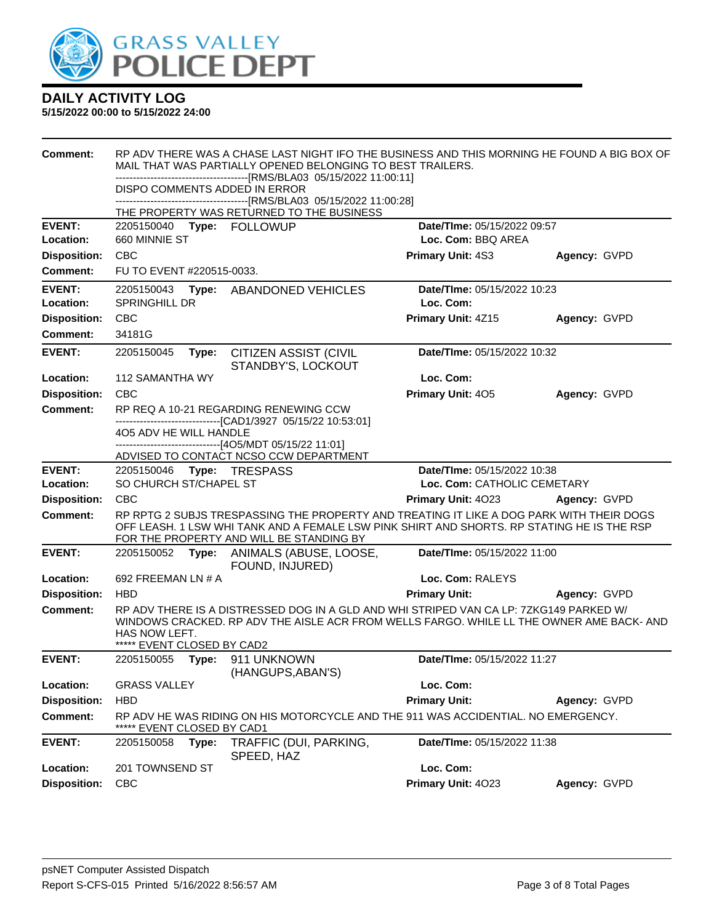

| <b>Comment:</b>            | RP ADV THERE WAS A CHASE LAST NIGHT IFO THE BUSINESS AND THIS MORNING HE FOUND A BIG BOX OF<br>MAIL THAT WAS PARTIALLY OPENED BELONGING TO BEST TRAILERS.<br>-------------------------------[RMS/BLA03_05/15/2022 11:00:11]      |       |                                                                                                                                        |                             |              |  |
|----------------------------|----------------------------------------------------------------------------------------------------------------------------------------------------------------------------------------------------------------------------------|-------|----------------------------------------------------------------------------------------------------------------------------------------|-----------------------------|--------------|--|
|                            | DISPO COMMENTS ADDED IN ERROR<br>THE PROPERTY WAS RETURNED TO THE BUSINESS                                                                                                                                                       |       |                                                                                                                                        |                             |              |  |
|                            |                                                                                                                                                                                                                                  |       |                                                                                                                                        |                             |              |  |
| <b>EVENT:</b>              | 2205150040                                                                                                                                                                                                                       |       | Type: FOLLOWUP                                                                                                                         | Date/TIme: 05/15/2022 09:57 |              |  |
| Location:                  | 660 MINNIE ST                                                                                                                                                                                                                    |       |                                                                                                                                        | Loc. Com: BBQ AREA          |              |  |
| <b>Disposition:</b>        | <b>CBC</b>                                                                                                                                                                                                                       |       |                                                                                                                                        | Primary Unit: 4S3           | Agency: GVPD |  |
| Comment:                   | FU TO EVENT #220515-0033.                                                                                                                                                                                                        |       |                                                                                                                                        |                             |              |  |
| <b>EVENT:</b>              | 2205150043                                                                                                                                                                                                                       |       | Type: ABANDONED VEHICLES                                                                                                               | Date/TIme: 05/15/2022 10:23 |              |  |
| Location:                  | <b>SPRINGHILL DR</b>                                                                                                                                                                                                             |       |                                                                                                                                        | Loc. Com:                   |              |  |
| <b>Disposition:</b>        | <b>CBC</b>                                                                                                                                                                                                                       |       |                                                                                                                                        | Primary Unit: 4Z15          | Agency: GVPD |  |
| <b>Comment:</b>            | 34181G                                                                                                                                                                                                                           |       |                                                                                                                                        |                             |              |  |
| <b>EVENT:</b>              | 2205150045                                                                                                                                                                                                                       | Type: | <b>CITIZEN ASSIST (CIVIL</b><br>STANDBY'S, LOCKOUT                                                                                     | Date/TIme: 05/15/2022 10:32 |              |  |
| Location:                  | 112 SAMANTHA WY                                                                                                                                                                                                                  |       |                                                                                                                                        | Loc. Com:                   |              |  |
| <b>Disposition:</b>        | <b>CBC</b>                                                                                                                                                                                                                       |       |                                                                                                                                        | Primary Unit: 405           | Agency: GVPD |  |
| <b>Comment:</b>            |                                                                                                                                                                                                                                  |       | RP REQ A 10-21 REGARDING RENEWING CCW                                                                                                  |                             |              |  |
|                            | --------------------------------[CAD1/3927 05/15/22 10:53:01]<br>4O5 ADV HE WILL HANDLE                                                                                                                                          |       |                                                                                                                                        |                             |              |  |
|                            | ------------------------------[4O5/MDT 05/15/22 11:01]                                                                                                                                                                           |       |                                                                                                                                        |                             |              |  |
|                            |                                                                                                                                                                                                                                  |       | ADVISED TO CONTACT NCSO CCW DEPARTMENT                                                                                                 |                             |              |  |
| <b>EVENT:</b><br>Location: | Date/TIme: 05/15/2022 10:38<br>2205150046    Type: TRESPASS<br>SO CHURCH ST/CHAPEL ST<br>Loc. Com: CATHOLIC CEMETARY                                                                                                             |       |                                                                                                                                        |                             |              |  |
| <b>Disposition:</b>        | <b>CBC</b>                                                                                                                                                                                                                       |       |                                                                                                                                        | Primary Unit: 4023          | Agency: GVPD |  |
| <b>Comment:</b>            |                                                                                                                                                                                                                                  |       | RP RPTG 2 SUBJS TRESPASSING THE PROPERTY AND TREATING IT LIKE A DOG PARK WITH THEIR DOGS                                               |                             |              |  |
|                            |                                                                                                                                                                                                                                  |       | OFF LEASH. 1 LSW WHI TANK AND A FEMALE LSW PINK SHIRT AND SHORTS. RP STATING HE IS THE RSP<br>FOR THE PROPERTY AND WILL BE STANDING BY |                             |              |  |
| <b>EVENT:</b>              | 2205150052                                                                                                                                                                                                                       | Type: | ANIMALS (ABUSE, LOOSE,<br>FOUND, INJURED)                                                                                              | Date/TIme: 05/15/2022 11:00 |              |  |
| Location:                  | 692 FREEMAN LN # A                                                                                                                                                                                                               |       |                                                                                                                                        | Loc. Com: RALEYS            |              |  |
| <b>Disposition:</b>        | <b>HBD</b>                                                                                                                                                                                                                       |       |                                                                                                                                        | <b>Primary Unit:</b>        | Agency: GVPD |  |
| <b>Comment:</b>            | RP ADV THERE IS A DISTRESSED DOG IN A GLD AND WHI STRIPED VAN CA LP: 7ZKG149 PARKED W/<br>WINDOWS CRACKED. RP ADV THE AISLE ACR FROM WELLS FARGO. WHILE LL THE OWNER AME BACK-AND<br>HAS NOW LEFT.<br>***** EVENT CLOSED BY CAD2 |       |                                                                                                                                        |                             |              |  |
| <b>EVENT:</b>              | 2205150055                                                                                                                                                                                                                       |       | Type: 911 UNKNOWN<br>(HANGUPS, ABAN'S)                                                                                                 | Date/TIme: 05/15/2022 11:27 |              |  |
| Location:                  | <b>GRASS VALLEY</b>                                                                                                                                                                                                              |       |                                                                                                                                        | Loc. Com:                   |              |  |
| <b>Disposition:</b>        | <b>HBD</b>                                                                                                                                                                                                                       |       |                                                                                                                                        | <b>Primary Unit:</b>        | Agency: GVPD |  |
| <b>Comment:</b>            | EVENT CLOSED BY CAD1                                                                                                                                                                                                             |       | RP ADV HE WAS RIDING ON HIS MOTORCYCLE AND THE 911 WAS ACCIDENTIAL. NO EMERGENCY.                                                      |                             |              |  |
| <b>EVENT:</b>              | 2205150058                                                                                                                                                                                                                       | Type: | TRAFFIC (DUI, PARKING,<br>SPEED, HAZ                                                                                                   | Date/TIme: 05/15/2022 11:38 |              |  |
| Location:                  | 201 TOWNSEND ST                                                                                                                                                                                                                  |       |                                                                                                                                        | Loc. Com:                   |              |  |
| <b>Disposition:</b>        | <b>CBC</b>                                                                                                                                                                                                                       |       |                                                                                                                                        | Primary Unit: 4023          | Agency: GVPD |  |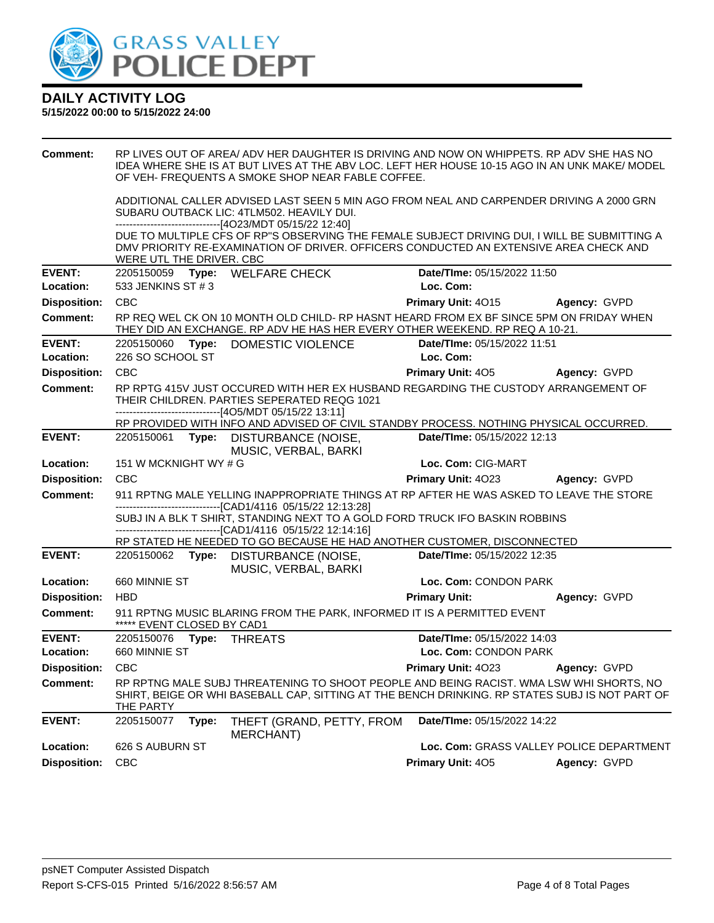

| <b>Comment:</b>         |                             | RP LIVES OUT OF AREA/ ADV HER DAUGHTER IS DRIVING AND NOW ON WHIPPETS. RP ADV SHE HAS NO<br>IDEA WHERE SHE IS AT BUT LIVES AT THE ABV LOC. LEFT HER HOUSE 10-15 AGO IN AN UNK MAKE/ MODEL<br>OF VEH- FREQUENTS A SMOKE SHOP NEAR FABLE COFFEE. |                                          |                     |
|-------------------------|-----------------------------|------------------------------------------------------------------------------------------------------------------------------------------------------------------------------------------------------------------------------------------------|------------------------------------------|---------------------|
|                         |                             | ADDITIONAL CALLER ADVISED LAST SEEN 5 MIN AGO FROM NEAL AND CARPENDER DRIVING A 2000 GRN<br>SUBARU OUTBACK LIC: 4TLM502. HEAVILY DUI.<br>-------------------------------[4O23/MDT 05/15/22 12:40]                                              |                                          |                     |
|                         | WERE UTL THE DRIVER. CBC    | DUE TO MULTIPLE CFS OF RP"S OBSERVING THE FEMALE SUBJECT DRIVING DUI, I WILL BE SUBMITTING A<br>DMV PRIORITY RE-EXAMINATION OF DRIVER. OFFICERS CONDUCTED AN EXTENSIVE AREA CHECK AND                                                          |                                          |                     |
| <b>EVENT:</b>           |                             | 2205150059 Type: WELFARE CHECK                                                                                                                                                                                                                 | Date/TIme: 05/15/2022 11:50              |                     |
| Location:               | 533 JENKINS ST # 3          |                                                                                                                                                                                                                                                | Loc. Com:                                |                     |
| <b>Disposition:</b>     | <b>CBC</b>                  |                                                                                                                                                                                                                                                | <b>Primary Unit: 4015</b>                | Agency: GVPD        |
| <b>Comment:</b>         |                             | RP REQ WEL CK ON 10 MONTH OLD CHILD- RP HASNT HEARD FROM EX BF SINCE 5PM ON FRIDAY WHEN<br>THEY DID AN EXCHANGE. RP ADV HE HAS HER EVERY OTHER WEEKEND. RP REQ A 10-21.                                                                        |                                          |                     |
| <b>EVENT:</b>           |                             | 2205150060 Type: DOMESTIC VIOLENCE                                                                                                                                                                                                             | Date/TIme: 05/15/2022 11:51              |                     |
| Location:               | 226 SO SCHOOL ST            |                                                                                                                                                                                                                                                | Loc. Com:                                |                     |
| <b>Disposition:</b>     | CBC                         |                                                                                                                                                                                                                                                | <b>Primary Unit: 405</b>                 | Agency: GVPD        |
| <b>Comment:</b>         |                             | RP RPTG 415V JUST OCCURED WITH HER EX HUSBAND REGARDING THE CUSTODY ARRANGEMENT OF<br>THEIR CHILDREN, PARTIES SEPERATED REQG 1021<br>-------------------------------[4O5/MDT 05/15/22 13:11]                                                   |                                          |                     |
|                         |                             | RP PROVIDED WITH INFO AND ADVISED OF CIVIL STANDBY PROCESS. NOTHING PHYSICAL OCCURRED.                                                                                                                                                         |                                          |                     |
| <b>EVENT:</b>           |                             | 2205150061 Type: DISTURBANCE (NOISE,<br>MUSIC, VERBAL, BARKI                                                                                                                                                                                   | Date/TIme: 05/15/2022 12:13              |                     |
| Location:               | 151 W MCKNIGHT WY # G       |                                                                                                                                                                                                                                                | Loc. Com: CIG-MART                       |                     |
| <b>Disposition:</b>     | <b>CBC</b>                  |                                                                                                                                                                                                                                                | <b>Primary Unit: 4023</b>                | <b>Agency: GVPD</b> |
| <b>Comment:</b>         |                             | 911 RPTNG MALE YELLING INAPPROPRIATE THINGS AT RP AFTER HE WAS ASKED TO LEAVE THE STORE<br>-------------------------------[CAD1/4116 05/15/22 12:13:28]                                                                                        |                                          |                     |
|                         |                             | SUBJ IN A BLK T SHIRT, STANDING NEXT TO A GOLD FORD TRUCK IFO BASKIN ROBBINS<br>---------------------[CAD1/4116 05/15/22 12:14:16]                                                                                                             |                                          |                     |
|                         |                             |                                                                                                                                                                                                                                                |                                          |                     |
|                         |                             | RP STATED HE NEEDED TO GO BECAUSE HE HAD ANOTHER CUSTOMER, DISCONNECTED                                                                                                                                                                        |                                          |                     |
| <b>EVENT:</b>           |                             | 2205150062 Type: DISTURBANCE (NOISE,<br>MUSIC, VERBAL, BARKI                                                                                                                                                                                   | Date/TIme: 05/15/2022 12:35              |                     |
| Location:               | 660 MINNIE ST               |                                                                                                                                                                                                                                                | Loc. Com: CONDON PARK                    |                     |
| <b>Disposition:</b>     | <b>HBD</b>                  |                                                                                                                                                                                                                                                | <b>Primary Unit:</b>                     | Agency: GVPD        |
| <b>Comment:</b>         | ***** EVENT CLOSED BY CAD1  | 911 RPTNG MUSIC BLARING FROM THE PARK, INFORMED IT IS A PERMITTED EVENT                                                                                                                                                                        |                                          |                     |
| <b>EVENT:</b>           | 2205150076    Type: THREATS |                                                                                                                                                                                                                                                | Date/TIme: 05/15/2022 14:03              |                     |
| Location:               | 660 MINNIE ST               |                                                                                                                                                                                                                                                | Loc. Com: CONDON PARK                    |                     |
| <b>Disposition: CBC</b> |                             |                                                                                                                                                                                                                                                | <b>Primary Unit: 4023 Agency: GVPD</b>   |                     |
| Comment:                | THE PARTY                   | RP RPTNG MALE SUBJ THREATENING TO SHOOT PEOPLE AND BEING RACIST. WMA LSW WHI SHORTS, NO<br>SHIRT, BEIGE OR WHI BASEBALL CAP, SITTING AT THE BENCH DRINKING. RP STATES SUBJ IS NOT PART OF                                                      |                                          |                     |
| <b>EVENT:</b>           | 2205150077<br>Type:         | THEFT (GRAND, PETTY, FROM<br><b>MERCHANT)</b>                                                                                                                                                                                                  | Date/TIme: 05/15/2022 14:22              |                     |
| Location:               | 626 S AUBURN ST             |                                                                                                                                                                                                                                                | Loc. Com: GRASS VALLEY POLICE DEPARTMENT |                     |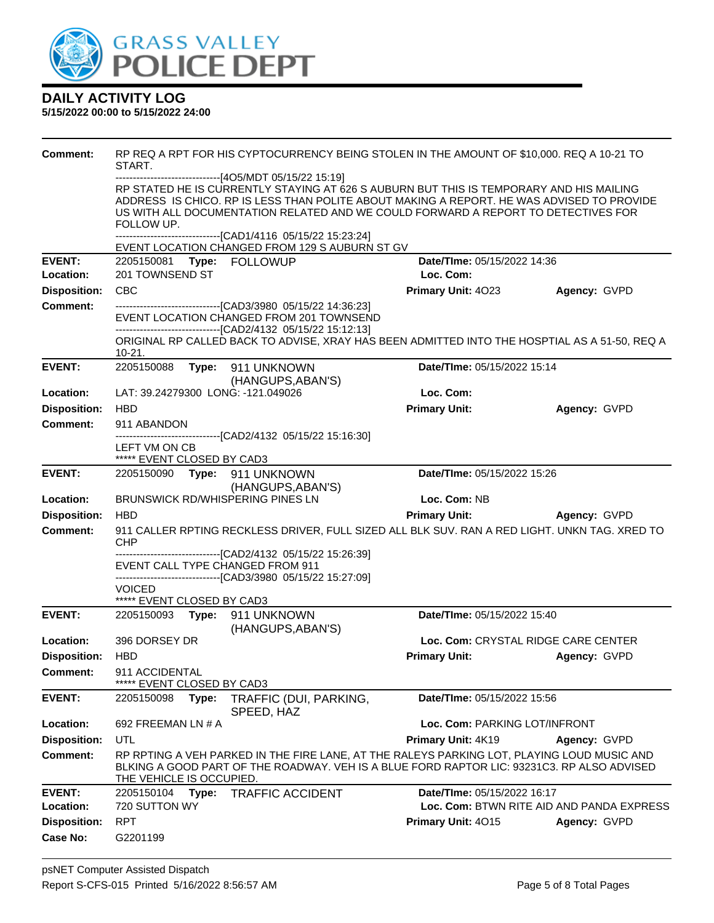

| <b>Comment:</b>     | START.                                      | RP REQ A RPT FOR HIS CYPTOCURRENCY BEING STOLEN IN THE AMOUNT OF \$10,000. REQ A 10-21 TO                                                                                                                                                                                                                                     |                                     |                                           |
|---------------------|---------------------------------------------|-------------------------------------------------------------------------------------------------------------------------------------------------------------------------------------------------------------------------------------------------------------------------------------------------------------------------------|-------------------------------------|-------------------------------------------|
|                     | FOLLOW UP.                                  | ------------------------[4O5/MDT 05/15/22 15:19]<br>RP STATED HE IS CURRENTLY STAYING AT 626 S AUBURN BUT THIS IS TEMPORARY AND HIS MAILING<br>ADDRESS IS CHICO. RP IS LESS THAN POLITE ABOUT MAKING A REPORT. HE WAS ADVISED TO PROVIDE<br>US WITH ALL DOCUMENTATION RELATED AND WE COULD FORWARD A REPORT TO DETECTIVES FOR |                                     |                                           |
|                     |                                             | -------------------------------[CAD1/4116 05/15/22 15:23:24]<br>EVENT LOCATION CHANGED FROM 129 S AUBURN ST GV                                                                                                                                                                                                                |                                     |                                           |
| <b>EVENT:</b>       | 2205150081 Type: FOLLOWUP                   |                                                                                                                                                                                                                                                                                                                               | Date/TIme: 05/15/2022 14:36         |                                           |
| Location:           | 201 TOWNSEND ST                             |                                                                                                                                                                                                                                                                                                                               | Loc. Com:                           |                                           |
| <b>Disposition:</b> | <b>CBC</b>                                  |                                                                                                                                                                                                                                                                                                                               | Primary Unit: 4023                  | Agency: GVPD                              |
| <b>Comment:</b>     |                                             | --------------------------[CAD3/3980_05/15/22 14:36:23]<br>EVENT LOCATION CHANGED FROM 201 TOWNSEND<br>-------------------------------[CAD2/4132 05/15/22 15:12:13]                                                                                                                                                           |                                     |                                           |
|                     | 10-21.                                      | ORIGINAL RP CALLED BACK TO ADVISE, XRAY HAS BEEN ADMITTED INTO THE HOSPTIAL AS A 51-50, REQ A                                                                                                                                                                                                                                 |                                     |                                           |
| <b>EVENT:</b>       | 2205150088                                  | Type: 911 UNKNOWN<br>(HANGUPS, ABAN'S)                                                                                                                                                                                                                                                                                        | Date/TIme: 05/15/2022 15:14         |                                           |
| Location:           | LAT: 39.24279300 LONG: -121.049026          |                                                                                                                                                                                                                                                                                                                               | Loc. Com:                           |                                           |
| <b>Disposition:</b> | <b>HBD</b>                                  |                                                                                                                                                                                                                                                                                                                               | <b>Primary Unit:</b>                | Agency: GVPD                              |
| Comment:            | 911 ABANDON                                 |                                                                                                                                                                                                                                                                                                                               |                                     |                                           |
|                     | LEFT VM ON CB<br>***** EVENT CLOSED BY CAD3 | -------------------------------[CAD2/4132 05/15/22 15:16:30]                                                                                                                                                                                                                                                                  |                                     |                                           |
| <b>EVENT:</b>       | 2205150090 Type: 911 UNKNOWN                |                                                                                                                                                                                                                                                                                                                               | Date/TIme: 05/15/2022 15:26         |                                           |
|                     |                                             | (HANGUPS, ABAN'S)                                                                                                                                                                                                                                                                                                             |                                     |                                           |
| Location:           | <b>BRUNSWICK RD/WHISPERING PINES LN</b>     |                                                                                                                                                                                                                                                                                                                               | Loc. Com: NB                        |                                           |
| <b>Disposition:</b> | <b>HBD</b>                                  |                                                                                                                                                                                                                                                                                                                               | <b>Primary Unit:</b>                | Agency: GVPD                              |
| <b>Comment:</b>     | <b>CHP</b>                                  | 911 CALLER RPTING RECKLESS DRIVER, FULL SIZED ALL BLK SUV. RAN A RED LIGHT. UNKN TAG. XRED TO                                                                                                                                                                                                                                 |                                     |                                           |
|                     | EVENT CALL TYPE CHANGED FROM 911            | --------------------[CAD2/4132_05/15/22 15:26:39]<br>-------------------------------[CAD3/3980_05/15/22_15:27:09]                                                                                                                                                                                                             |                                     |                                           |
|                     | VOICED<br>***** EVENT CLOSED BY CAD3        |                                                                                                                                                                                                                                                                                                                               |                                     |                                           |
| <b>EVENT:</b>       | 2205150093    Type: 911    UNKNOWN          | (HANGUPS, ABAN'S)                                                                                                                                                                                                                                                                                                             | Date/TIme: 05/15/2022 15:40         |                                           |
| Location:           | 396 DORSEY DR                               |                                                                                                                                                                                                                                                                                                                               | Loc. Com: CRYSTAL RIDGE CARE CENTER |                                           |
| <b>Disposition:</b> | <b>HBD</b>                                  |                                                                                                                                                                                                                                                                                                                               | <b>Primary Unit:</b>                | Agency: GVPD                              |
| <b>Comment:</b>     | 911 ACCIDENTAL<br>EVENT CLOSED BY CAD3      |                                                                                                                                                                                                                                                                                                                               |                                     |                                           |
| <b>EVENT:</b>       | 2205150098<br>Type:                         | TRAFFIC (DUI, PARKING,<br>SPEED, HAZ                                                                                                                                                                                                                                                                                          | Date/TIme: 05/15/2022 15:56         |                                           |
| Location:           | 692 FREEMAN LN # A                          |                                                                                                                                                                                                                                                                                                                               | Loc. Com: PARKING LOT/INFRONT       |                                           |
| <b>Disposition:</b> | UTL                                         |                                                                                                                                                                                                                                                                                                                               | Primary Unit: 4K19                  | Agency: GVPD                              |
| <b>Comment:</b>     | THE VEHICLE IS OCCUPIED.                    | RP RPTING A VEH PARKED IN THE FIRE LANE, AT THE RALEYS PARKING LOT, PLAYING LOUD MUSIC AND<br>BLKING A GOOD PART OF THE ROADWAY. VEH IS A BLUE FORD RAPTOR LIC: 93231C3. RP ALSO ADVISED                                                                                                                                      |                                     |                                           |
| <b>EVENT:</b>       | 2205150104<br>Type:                         | <b>TRAFFIC ACCIDENT</b>                                                                                                                                                                                                                                                                                                       | Date/TIme: 05/15/2022 16:17         |                                           |
| Location:           | 720 SUTTON WY                               |                                                                                                                                                                                                                                                                                                                               |                                     | Loc. Com: BTWN RITE AID AND PANDA EXPRESS |
| <b>Disposition:</b> | <b>RPT</b>                                  |                                                                                                                                                                                                                                                                                                                               | Primary Unit: 4015                  | Agency: GVPD                              |
| <b>Case No:</b>     | G2201199                                    |                                                                                                                                                                                                                                                                                                                               |                                     |                                           |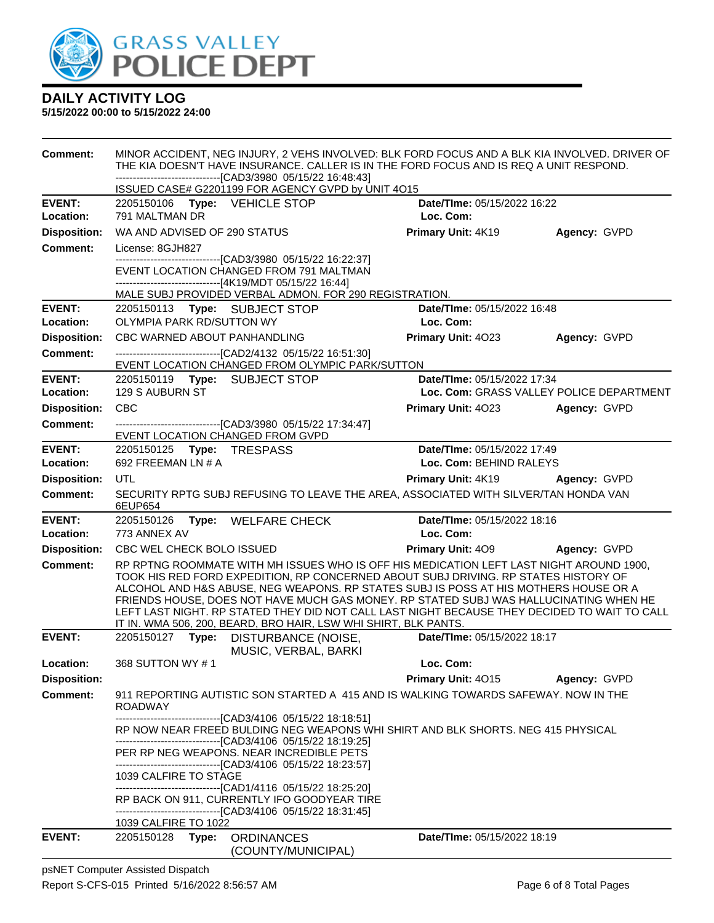

**5/15/2022 00:00 to 5/15/2022 24:00**

| <b>Comment:</b>                        | MINOR ACCIDENT, NEG INJURY, 2 VEHS INVOLVED: BLK FORD FOCUS AND A BLK KIA INVOLVED. DRIVER OF<br>THE KIA DOESN'T HAVE INSURANCE. CALLER IS IN THE FORD FOCUS AND IS REQ A UNIT RESPOND. |       |                                                                                                                                                                             |  |                                          |                                                                                                                                                                                       |
|----------------------------------------|-----------------------------------------------------------------------------------------------------------------------------------------------------------------------------------------|-------|-----------------------------------------------------------------------------------------------------------------------------------------------------------------------------|--|------------------------------------------|---------------------------------------------------------------------------------------------------------------------------------------------------------------------------------------|
|                                        | -------------------------------[CAD3/3980 05/15/22 16:48:43]<br>ISSUED CASE# G2201199 FOR AGENCY GVPD by UNIT 4O15                                                                      |       |                                                                                                                                                                             |  |                                          |                                                                                                                                                                                       |
|                                        |                                                                                                                                                                                         |       |                                                                                                                                                                             |  |                                          |                                                                                                                                                                                       |
| <b>EVENT:</b>                          | 2205150106 Type: VEHICLE STOP<br>791 MALTMAN DR                                                                                                                                         |       |                                                                                                                                                                             |  | Date/TIme: 05/15/2022 16:22<br>Loc. Com: |                                                                                                                                                                                       |
| Location:                              |                                                                                                                                                                                         |       |                                                                                                                                                                             |  |                                          |                                                                                                                                                                                       |
| <b>Disposition:</b>                    | WA AND ADVISED OF 290 STATUS                                                                                                                                                            |       |                                                                                                                                                                             |  | Primary Unit: 4K19                       | Agency: GVPD                                                                                                                                                                          |
| <b>Comment:</b>                        | License: 8GJH827                                                                                                                                                                        |       | --------------------------[CAD3/3980 05/15/22 16:22:37]                                                                                                                     |  |                                          |                                                                                                                                                                                       |
|                                        |                                                                                                                                                                                         |       | EVENT LOCATION CHANGED FROM 791 MALTMAN                                                                                                                                     |  |                                          |                                                                                                                                                                                       |
|                                        |                                                                                                                                                                                         |       | ------------------------------[4K19/MDT 05/15/22 16:44]                                                                                                                     |  |                                          |                                                                                                                                                                                       |
|                                        |                                                                                                                                                                                         |       | MALE SUBJ PROVIDED VERBAL ADMON. FOR 290 REGISTRATION.                                                                                                                      |  |                                          |                                                                                                                                                                                       |
| <b>EVENT:</b><br>Location:             | OLYMPIA PARK RD/SUTTON WY                                                                                                                                                               |       | 2205150113 Type: SUBJECT STOP                                                                                                                                               |  | Date/TIme: 05/15/2022 16:48<br>Loc. Com: |                                                                                                                                                                                       |
| <b>Disposition:</b>                    | CBC WARNED ABOUT PANHANDLING                                                                                                                                                            |       |                                                                                                                                                                             |  | Primary Unit: 4023                       | Agency: GVPD                                                                                                                                                                          |
| <b>Comment:</b>                        |                                                                                                                                                                                         |       | --------------------------------[CAD2/4132 05/15/22 16:51:30]                                                                                                               |  |                                          |                                                                                                                                                                                       |
|                                        |                                                                                                                                                                                         |       | EVENT LOCATION CHANGED FROM OLYMPIC PARK/SUTTON                                                                                                                             |  |                                          |                                                                                                                                                                                       |
| <b>EVENT:</b>                          |                                                                                                                                                                                         |       | 2205150119 Type: SUBJECT STOP                                                                                                                                               |  | Date/TIme: 05/15/2022 17:34              |                                                                                                                                                                                       |
| Location:                              | 129 S AUBURN ST                                                                                                                                                                         |       |                                                                                                                                                                             |  |                                          | Loc. Com: GRASS VALLEY POLICE DEPARTMENT                                                                                                                                              |
| <b>Disposition:</b>                    | CBC                                                                                                                                                                                     |       |                                                                                                                                                                             |  | <b>Primary Unit: 4023</b>                | Agency: GVPD                                                                                                                                                                          |
| <b>Comment:</b>                        |                                                                                                                                                                                         |       | --------------------------------[CAD3/3980 05/15/22 17:34:47]<br><b>EVENT LOCATION CHANGED FROM GVPD</b>                                                                    |  |                                          |                                                                                                                                                                                       |
| <b>EVENT:</b>                          | 2205150125 Type: TRESPASS                                                                                                                                                               |       |                                                                                                                                                                             |  | Date/TIme: 05/15/2022 17:49              |                                                                                                                                                                                       |
| <b>Location:</b>                       | 692 FREEMAN LN # A                                                                                                                                                                      |       |                                                                                                                                                                             |  | Loc. Com: BEHIND RALEYS                  |                                                                                                                                                                                       |
| <b>Disposition:</b>                    | UTL                                                                                                                                                                                     |       |                                                                                                                                                                             |  | <b>Primary Unit: 4K19</b>                | Agency: GVPD                                                                                                                                                                          |
| <b>Comment:</b>                        | 6EUP654                                                                                                                                                                                 |       | SECURITY RPTG SUBJ REFUSING TO LEAVE THE AREA, ASSOCIATED WITH SILVER/TAN HONDA VAN                                                                                         |  |                                          |                                                                                                                                                                                       |
| <b>EVENT:</b>                          |                                                                                                                                                                                         |       | 2205150126 Type: WELFARE CHECK                                                                                                                                              |  | Date/TIme: 05/15/2022 18:16              |                                                                                                                                                                                       |
| Location:                              | 773 ANNEX AV                                                                                                                                                                            |       |                                                                                                                                                                             |  | Loc. Com:                                |                                                                                                                                                                                       |
| <b>Disposition:</b><br><b>Comment:</b> | CBC WEL CHECK BOLO ISSUED                                                                                                                                                               |       |                                                                                                                                                                             |  | <b>Primary Unit: 409</b>                 | <b>Agency: GVPD</b>                                                                                                                                                                   |
|                                        |                                                                                                                                                                                         |       | TOOK HIS RED FORD EXPEDITION, RP CONCERNED ABOUT SUBJ DRIVING. RP STATES HISTORY OF<br>ALCOHOL AND H&S ABUSE, NEG WEAPONS. RP STATES SUBJ IS POSS AT HIS MOTHERS HOUSE OR A |  |                                          | RP RPTNG ROOMMATE WITH MH ISSUES WHO IS OFF HIS MEDICATION LEFT LAST NIGHT AROUND 1900,                                                                                               |
|                                        |                                                                                                                                                                                         |       |                                                                                                                                                                             |  |                                          | FRIENDS HOUSE, DOES NOT HAVE MUCH GAS MONEY. RP STATED SUBJ WAS HALLUCINATING WHEN HE<br>LEFT LAST NIGHT. RP STATED THEY DID NOT CALL LAST NIGHT BECAUSE THEY DECIDED TO WAIT TO CALL |
|                                        |                                                                                                                                                                                         |       | IT IN. WMA 506, 200, BEARD, BRO HAIR, LSW WHI SHIRT, BLK PANTS.                                                                                                             |  |                                          |                                                                                                                                                                                       |
| <b>EVENT:</b>                          |                                                                                                                                                                                         |       | 2205150127 Type: DISTURBANCE (NOISE,                                                                                                                                        |  | Date/TIme: 05/15/2022 18:17              |                                                                                                                                                                                       |
| Location:                              | 368 SUTTON WY #1                                                                                                                                                                        |       | MUSIC, VERBAL, BARKI                                                                                                                                                        |  | Loc. Com:                                |                                                                                                                                                                                       |
| <b>Disposition:</b>                    |                                                                                                                                                                                         |       |                                                                                                                                                                             |  | Primary Unit: 4015                       | Agency: GVPD                                                                                                                                                                          |
| <b>Comment:</b>                        | <b>ROADWAY</b>                                                                                                                                                                          |       | 911 REPORTING AUTISTIC SON STARTED A 415 AND IS WALKING TOWARDS SAFEWAY. NOW IN THE                                                                                         |  |                                          |                                                                                                                                                                                       |
|                                        |                                                                                                                                                                                         |       | -------------------------------[CAD3/4106_05/15/22 18:18:51]                                                                                                                |  |                                          |                                                                                                                                                                                       |
|                                        |                                                                                                                                                                                         |       | RP NOW NEAR FREED BULDING NEG WEAPONS WHI SHIRT AND BLK SHORTS. NEG 415 PHYSICAL                                                                                            |  |                                          |                                                                                                                                                                                       |
|                                        |                                                                                                                                                                                         |       | ------------------------------[CAD3/4106 05/15/22 18:19:25]<br>PER RP NEG WEAPONS. NEAR INCREDIBLE PETS<br>----------------------------------[CAD3/4106 05/15/22 18:23:57]  |  |                                          |                                                                                                                                                                                       |
|                                        | 1039 CALFIRE TO STAGE                                                                                                                                                                   |       |                                                                                                                                                                             |  |                                          |                                                                                                                                                                                       |
|                                        |                                                                                                                                                                                         |       | -------------------------------[CAD1/4116 05/15/22 18:25:20]                                                                                                                |  |                                          |                                                                                                                                                                                       |
|                                        |                                                                                                                                                                                         |       | RP BACK ON 911, CURRENTLY IFO GOODYEAR TIRE<br>-------------------------------[CAD3/4106_05/15/22 18:31:45]                                                                 |  |                                          |                                                                                                                                                                                       |
|                                        | 1039 CALFIRE TO 1022                                                                                                                                                                    |       |                                                                                                                                                                             |  |                                          |                                                                                                                                                                                       |
| <b>EVENT:</b>                          | 2205150128                                                                                                                                                                              | Type: | <b>ORDINANCES</b>                                                                                                                                                           |  | Date/TIme: 05/15/2022 18:19              |                                                                                                                                                                                       |
|                                        |                                                                                                                                                                                         |       | (COUNTY/MUNICIPAL)                                                                                                                                                          |  |                                          |                                                                                                                                                                                       |

psNET Computer Assisted Dispatch Report S-CFS-015 Printed 5/16/2022 8:56:57 AM Page 6 of 8 Total Pages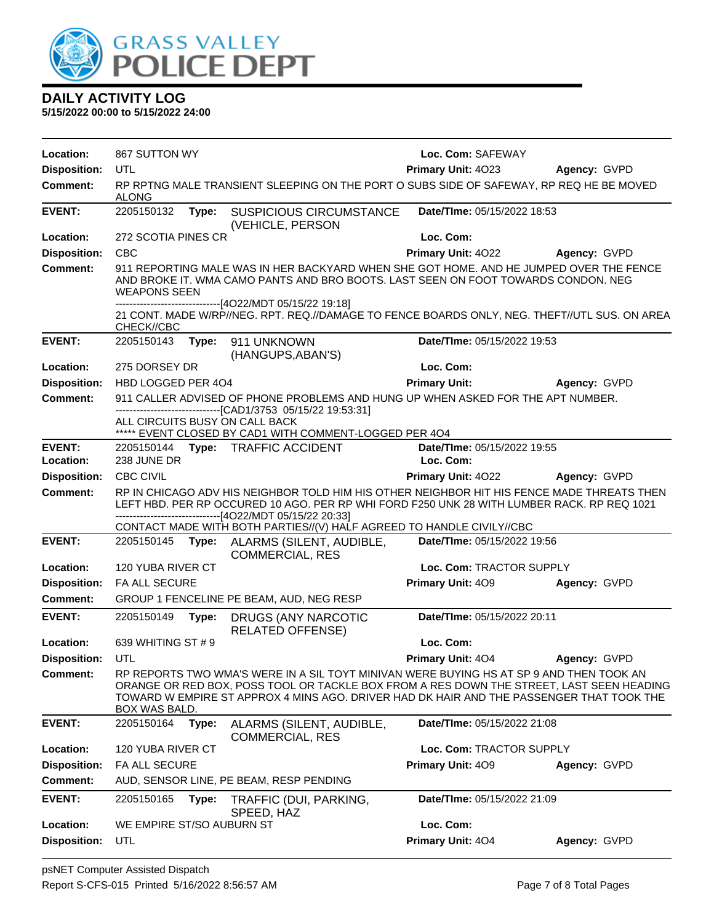

| Location:           | 867 SUTTON WY             |       |                                                                                                                                                                                                                                                                                 | Loc. Com: SAFEWAY                  |              |  |
|---------------------|---------------------------|-------|---------------------------------------------------------------------------------------------------------------------------------------------------------------------------------------------------------------------------------------------------------------------------------|------------------------------------|--------------|--|
| <b>Disposition:</b> | UTL                       |       |                                                                                                                                                                                                                                                                                 | Primary Unit: 4023<br>Agency: GVPD |              |  |
| <b>Comment:</b>     | <b>ALONG</b>              |       | RP RPTNG MALE TRANSIENT SLEEPING ON THE PORT O SUBS SIDE OF SAFEWAY, RP REQ HE BE MOVED                                                                                                                                                                                         |                                    |              |  |
| <b>EVENT:</b>       | 2205150132                | Type: | <b>SUSPICIOUS CIRCUMSTANCE</b><br>(VEHICLE, PERSON                                                                                                                                                                                                                              | Date/TIme: 05/15/2022 18:53        |              |  |
| Location:           | 272 SCOTIA PINES CR       |       |                                                                                                                                                                                                                                                                                 | Loc. Com:                          |              |  |
| <b>Disposition:</b> | <b>CBC</b>                |       |                                                                                                                                                                                                                                                                                 | Primary Unit: 4022                 | Agency: GVPD |  |
| <b>Comment:</b>     | <b>WEAPONS SEEN</b>       |       | 911 REPORTING MALE WAS IN HER BACKYARD WHEN SHE GOT HOME. AND HE JUMPED OVER THE FENCE<br>AND BROKE IT. WMA CAMO PANTS AND BRO BOOTS. LAST SEEN ON FOOT TOWARDS CONDON. NEG<br>-------------------------------[4O22/MDT 05/15/22 19:18]                                         |                                    |              |  |
|                     | CHECK//CBC                |       | 21 CONT. MADE W/RP//NEG. RPT. REQ.//DAMAGE TO FENCE BOARDS ONLY, NEG. THEFT//UTL SUS. ON AREA                                                                                                                                                                                   |                                    |              |  |
| <b>EVENT:</b>       | 2205150143                | Type: | 911 UNKNOWN<br>(HANGUPS, ABAN'S)                                                                                                                                                                                                                                                | Date/TIme: 05/15/2022 19:53        |              |  |
| Location:           | 275 DORSEY DR             |       |                                                                                                                                                                                                                                                                                 | Loc. Com:                          |              |  |
| <b>Disposition:</b> | HBD LOGGED PER 404        |       |                                                                                                                                                                                                                                                                                 | <b>Primary Unit:</b>               | Agency: GVPD |  |
| <b>Comment:</b>     |                           |       | 911 CALLER ADVISED OF PHONE PROBLEMS AND HUNG UP WHEN ASKED FOR THE APT NUMBER.                                                                                                                                                                                                 |                                    |              |  |
|                     |                           |       | -------------------------------[CAD1/3753_05/15/22_19:53:31]<br>ALL CIRCUITS BUSY ON CALL BACK<br>***** EVENT CLOSED BY CAD1 WITH COMMENT-LOGGED PER 404                                                                                                                        |                                    |              |  |
| <b>EVENT:</b>       |                           |       | 2205150144 Type: TRAFFIC ACCIDENT                                                                                                                                                                                                                                               | Date/TIme: 05/15/2022 19:55        |              |  |
| Location:           | 238 JUNE DR               |       |                                                                                                                                                                                                                                                                                 | Loc. Com:                          |              |  |
| <b>Disposition:</b> | <b>CBC CIVIL</b>          |       |                                                                                                                                                                                                                                                                                 | Primary Unit: 4022                 | Agency: GVPD |  |
| <b>Comment:</b>     |                           |       | RP IN CHICAGO ADV HIS NEIGHBOR TOLD HIM HIS OTHER NEIGHBOR HIT HIS FENCE MADE THREATS THEN<br>LEFT HBD. PER RP OCCURED 10 AGO. PER RP WHI FORD F250 UNK 28 WITH LUMBER RACK. RP REQ 1021<br>-------------------------------[4O22/MDT 05/15/22 20:33]                            |                                    |              |  |
|                     |                           |       | CONTACT MADE WITH BOTH PARTIES//(V) HALF AGREED TO HANDLE CIVILY//CBC                                                                                                                                                                                                           |                                    |              |  |
| <b>EVENT:</b>       | 2205150145                | Type: | ALARMS (SILENT, AUDIBLE,<br><b>COMMERCIAL, RES</b>                                                                                                                                                                                                                              | Date/TIme: 05/15/2022 19:56        |              |  |
|                     |                           |       |                                                                                                                                                                                                                                                                                 |                                    |              |  |
| Location:           | 120 YUBA RIVER CT         |       |                                                                                                                                                                                                                                                                                 | Loc. Com: TRACTOR SUPPLY           |              |  |
| <b>Disposition:</b> | FA ALL SECURE             |       |                                                                                                                                                                                                                                                                                 | Primary Unit: 409                  | Agency: GVPD |  |
| Comment:            |                           |       | GROUP 1 FENCELINE PE BEAM, AUD, NEG RESP                                                                                                                                                                                                                                        |                                    |              |  |
| <b>EVENT:</b>       | 2205150149                | Type: | DRUGS (ANY NARCOTIC<br><b>RELATED OFFENSE)</b>                                                                                                                                                                                                                                  | Date/TIme: 05/15/2022 20:11        |              |  |
| Location:           | 639 WHITING ST # 9        |       |                                                                                                                                                                                                                                                                                 | Loc. Com:                          |              |  |
| <b>Disposition:</b> | UTL                       |       |                                                                                                                                                                                                                                                                                 | Primary Unit: 404                  | Agency: GVPD |  |
| <b>Comment:</b>     | <b>BOX WAS BALD</b>       |       | RP REPORTS TWO WMA'S WERE IN A SIL TOYT MINIVAN WERE BUYING HS AT SP 9 AND THEN TOOK AN<br>ORANGE OR RED BOX, POSS TOOL OR TACKLE BOX FROM A RES DOWN THE STREET, LAST SEEN HEADING<br>TOWARD W EMPIRE ST APPROX 4 MINS AGO. DRIVER HAD DK HAIR AND THE PASSENGER THAT TOOK THE |                                    |              |  |
| <b>EVENT:</b>       | 2205150164                | Type: | ALARMS (SILENT, AUDIBLE,<br><b>COMMERCIAL, RES</b>                                                                                                                                                                                                                              | Date/TIme: 05/15/2022 21:08        |              |  |
| Location:           | 120 YUBA RIVER CT         |       |                                                                                                                                                                                                                                                                                 | Loc. Com: TRACTOR SUPPLY           |              |  |
| <b>Disposition:</b> | <b>FA ALL SECURE</b>      |       |                                                                                                                                                                                                                                                                                 | Primary Unit: 409                  | Agency: GVPD |  |
| <b>Comment:</b>     |                           |       | AUD, SENSOR LINE, PE BEAM, RESP PENDING                                                                                                                                                                                                                                         |                                    |              |  |
| <b>EVENT:</b>       | 2205150165                | Type: | TRAFFIC (DUI, PARKING,<br>SPEED, HAZ                                                                                                                                                                                                                                            | Date/TIme: 05/15/2022 21:09        |              |  |
| Location:           | WE EMPIRE ST/SO AUBURN ST |       |                                                                                                                                                                                                                                                                                 | Loc. Com:                          |              |  |